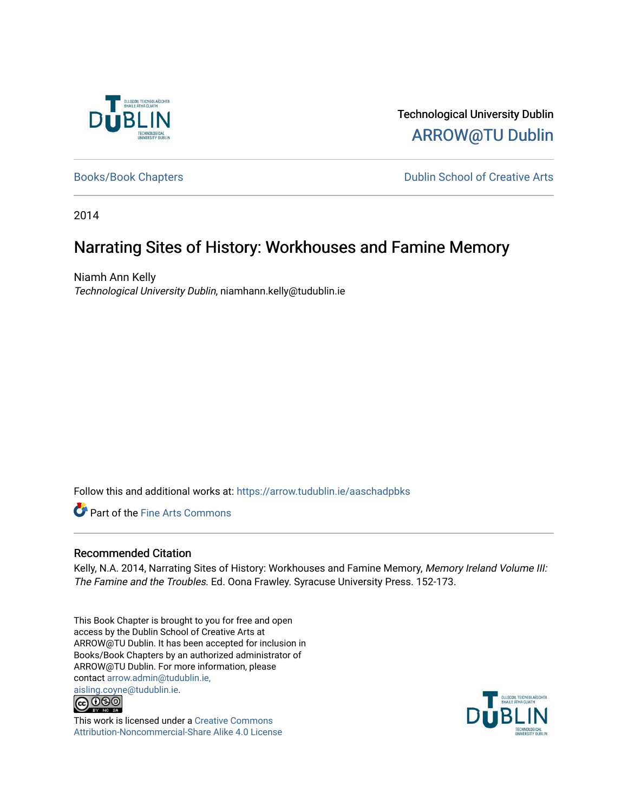

Technological University Dublin [ARROW@TU Dublin](https://arrow.tudublin.ie/) 

[Books/Book Chapters](https://arrow.tudublin.ie/aaschadpbks) **Dublin School of Creative Arts** 

2014

# Narrating Sites of History: Workhouses and Famine Memory

Niamh Ann Kelly Technological University Dublin, niamhann.kelly@tudublin.ie

Follow this and additional works at: [https://arrow.tudublin.ie/aaschadpbks](https://arrow.tudublin.ie/aaschadpbks?utm_source=arrow.tudublin.ie%2Faaschadpbks%2F5&utm_medium=PDF&utm_campaign=PDFCoverPages)

Part of the [Fine Arts Commons](http://network.bepress.com/hgg/discipline/1141?utm_source=arrow.tudublin.ie%2Faaschadpbks%2F5&utm_medium=PDF&utm_campaign=PDFCoverPages) 

# Recommended Citation

Kelly, N.A. 2014, Narrating Sites of History: Workhouses and Famine Memory, Memory Ireland Volume III: The Famine and the Troubles. Ed. Oona Frawley. Syracuse University Press. 152-173.

This Book Chapter is brought to you for free and open access by the Dublin School of Creative Arts at ARROW@TU Dublin. It has been accepted for inclusion in Books/Book Chapters by an authorized administrator of ARROW@TU Dublin. For more information, please contact [arrow.admin@tudublin.ie,](mailto:arrow.admin@tudublin.ie,%20aisling.coyne@tudublin.ie)  [aisling.coyne@tudublin.ie.](mailto:arrow.admin@tudublin.ie,%20aisling.coyne@tudublin.ie)



This work is licensed under a [Creative Commons](http://creativecommons.org/licenses/by-nc-sa/4.0/) [Attribution-Noncommercial-Share Alike 4.0 License](http://creativecommons.org/licenses/by-nc-sa/4.0/)

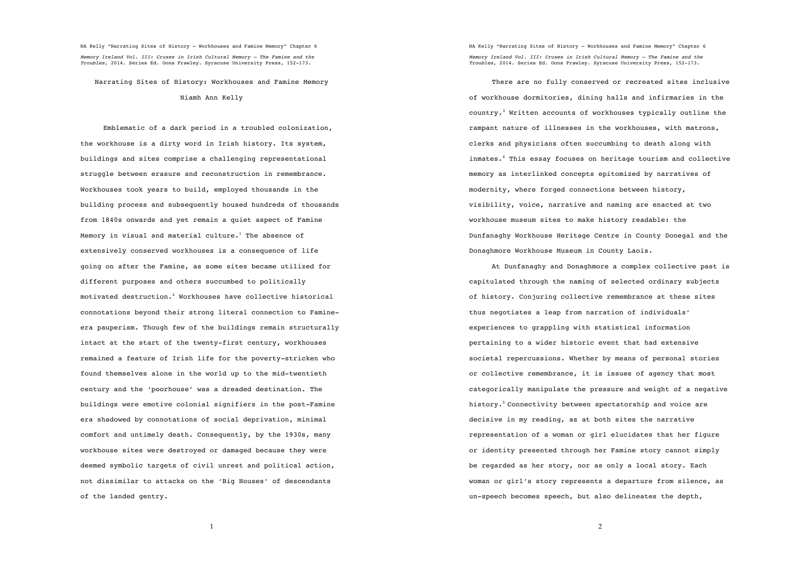Narrating Sites of History: Workhouses and Famine Memory

#### Niamh Ann Kelly

Emblematic of a dark period in a troubled colonization, the workhouse is a dirty word in Irish history. Its system, buildings and sites comprise a challenging representational struggle between erasure and reconstruction in remembrance. Workhouses took years to build, employed thousands in the building process and subsequently housed hundreds of thousands from 1840s onwards and yet remain a quiet aspect of Famine Memory in visual and material culture.<sup>1</sup> The absence of extensively conserved workhouses is a consequence of life going on after the Famine, as some sites became utilized for different purposes and others succumbed to politically motivated destruction.<sup>2</sup> Workhouses have collective historical connotations beyond their strong literal connection to Famineera pauperism. Though few of the buildings remain structurally intact at the start of the twenty-first century, workhouses remained a feature of Irish life for the poverty-stricken who found themselves alone in the world up to the mid-twentieth century and the 'poorhouse' was a dreaded destination. The buildings were emotive colonial signifiers in the post-Famine era shadowed by connotations of social deprivation, minimal comfort and untimely death. Consequently, by the 1930s, many workhouse sites were destroyed or damaged because they were deemed symbolic targets of civil unrest and political action, not dissimilar to attacks on the 'Big Houses' of descendants of the landed gentry.

NA Kelly "Narrating Sites of History – Workhouses and Famine Memory" Chapter 6 *Memory Ireland Vol. III: Cruxes in Irish Cultural Memory – The Famine and the Troubles*, 2014. Series Ed. Oona Frawley. Syracuse University Press, 152-173.

There are no fully conserved or recreated sites inclusive of workhouse dormitories, dining halls and infirmaries in the country.<sup>3</sup> Written accounts of workhouses typically outline the rampant nature of illnesses in the workhouses, with matrons, clerks and physicians often succumbing to death along with inmates.<sup>4</sup> This essay focuses on heritage tourism and collective memory as interlinked concepts epitomized by narratives of modernity, where forged connections between history, visibility, voice, narrative and naming are enacted at two workhouse museum sites to make history readable: the Dunfanaghy Workhouse Heritage Centre in County Donegal and the Donaghmore Workhouse Museum in County Laois.

At Dunfanaghy and Donaghmore a complex collective past is capitulated through the naming of selected ordinary subjects of history. Conjuring collective remembrance at these sites thus negotiates a leap from narration of individuals' experiences to grappling with statistical information pertaining to a wider historic event that had extensive societal repercussions. Whether by means of personal stories or collective remembrance, it is issues of agency that most categorically manipulate the pressure and weight of a negative history.<sup>5</sup> Connectivity between spectatorship and voice are decisive in my reading, as at both sites the narrative representation of a woman or girl elucidates that her figure or identity presented through her Famine story cannot simply be regarded as her story, nor as only a local story. Each woman or girl's story represents a departure from silence, as un-speech becomes speech, but also delineates the depth,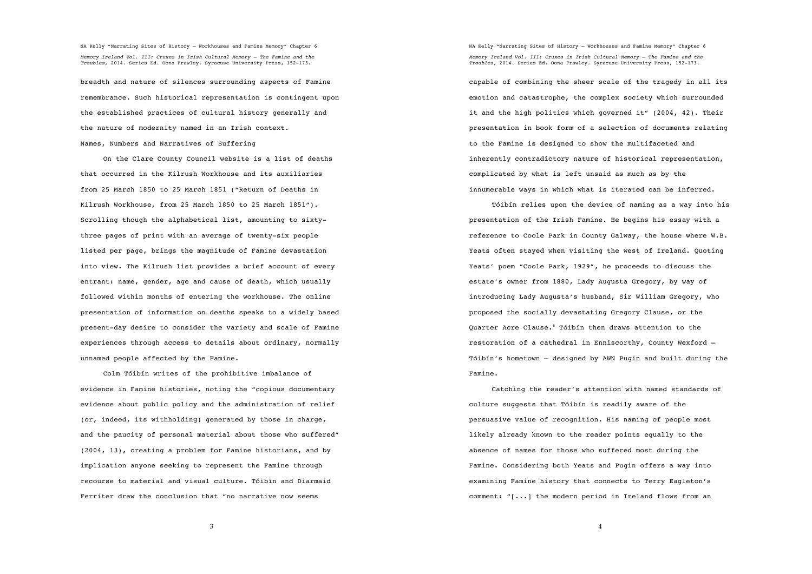breadth and nature of silences surrounding aspects of Famine remembrance. Such historical representation is contingent upon the established practices of cultural history generally and the nature of modernity named in an Irish context. Names, Numbers and Narratives of Suffering

On the Clare County Council website is a list of deaths that occurred in the Kilrush Workhouse and its auxiliaries from 25 March 1850 to 25 March 1851 ("Return of Deaths in Kilrush Workhouse, from 25 March 1850 to 25 March 1851"). Scrolling though the alphabetical list, amounting to sixtythree pages of print with an average of twenty-six people listed per page, brings the magnitude of Famine devastation into view. The Kilrush list provides a brief account of every entrant: name, gender, age and cause of death, which usually followed within months of entering the workhouse. The online presentation of information on deaths speaks to a widely based present-day desire to consider the variety and scale of Famine experiences through access to details about ordinary, normally unnamed people affected by the Famine.

Colm Tóibín writes of the prohibitive imbalance of evidence in Famine histories, noting the "copious documentary evidence about public policy and the administration of relief (or, indeed, its withholding) generated by those in charge, and the paucity of personal material about those who suffered" (2004, 13), creating a problem for Famine historians, and by implication anyone seeking to represent the Famine through recourse to material and visual culture. Tóibín and Diarmaid Ferriter draw the conclusion that "no narrative now seems

NA Kelly "Narrating Sites of History – Workhouses and Famine Memory" Chapter 6 *Memory Ireland Vol. III: Cruxes in Irish Cultural Memory – The Famine and the Troubles*, 2014. Series Ed. Oona Frawley. Syracuse University Press, 152-173.

capable of combining the sheer scale of the tragedy in all its emotion and catastrophe, the complex society which surrounded it and the high politics which governed it" (2004, 42). Their presentation in book form of a selection of documents relating to the Famine is designed to show the multifaceted and inherently contradictory nature of historical representation, complicated by what is left unsaid as much as by the innumerable ways in which what is iterated can be inferred.

Tóibín relies upon the device of naming as a way into his presentation of the Irish Famine. He begins his essay with a reference to Coole Park in County Galway, the house where W.B. Yeats often stayed when visiting the west of Ireland. Quoting Yeats' poem "Coole Park, 1929", he proceeds to discuss the estate's owner from 1880, Lady Augusta Gregory, by way of introducing Lady Augusta's husband, Sir William Gregory, who proposed the socially devastating Gregory Clause, or the Quarter Acre Clause.<sup>6</sup> Tóibín then draws attention to the restoration of a cathedral in Enniscorthy, County Wexford – Tóibín's hometown – designed by AWN Pugin and built during the Famine.

Catching the reader's attention with named standards of culture suggests that Tóibín is readily aware of the persuasive value of recognition. His naming of people most likely already known to the reader points equally to the absence of names for those who suffered most during the Famine. Considering both Yeats and Pugin offers a way into examining Famine history that connects to Terry Eagleton's comment: "[...] the modern period in Ireland flows from an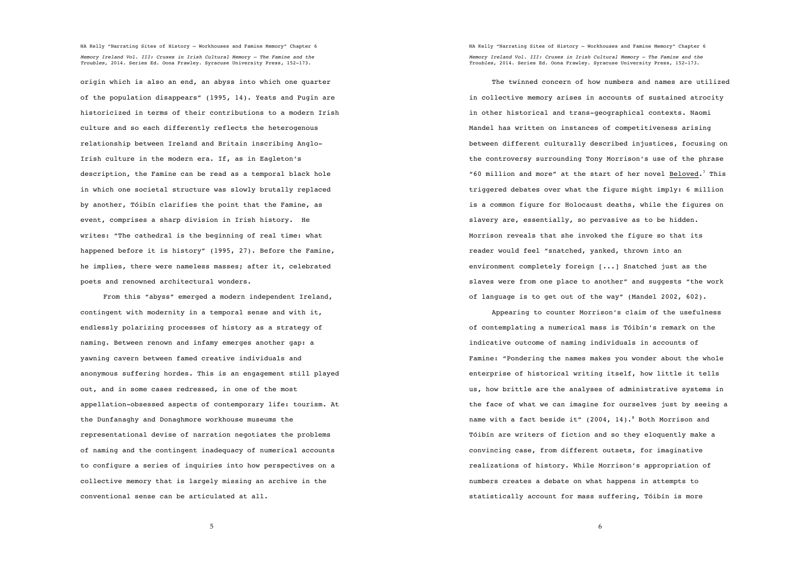origin which is also an end, an abyss into which one quarter of the population disappears" (1995, 14). Yeats and Pugin are historicized in terms of their contributions to a modern Irish culture and so each differently reflects the heterogenous relationship between Ireland and Britain inscribing Anglo-Irish culture in the modern era. If, as in Eagleton's description, the Famine can be read as a temporal black hole in which one societal structure was slowly brutally replaced by another, Tóibín clarifies the point that the Famine, as event, comprises a sharp division in Irish history. He writes: "The cathedral is the beginning of real time: what happened before it is history" (1995, 27). Before the Famine, he implies, there were nameless masses; after it, celebrated poets and renowned architectural wonders.

From this "abyss" emerged a modern independent Ireland, contingent with modernity in a temporal sense and with it, endlessly polarizing processes of history as a strategy of naming. Between renown and infamy emerges another gap: a yawning cavern between famed creative individuals and anonymous suffering hordes. This is an engagement still played out, and in some cases redressed, in one of the most appellation-obsessed aspects of contemporary life: tourism. At the Dunfanaghy and Donaghmore workhouse museums the representational devise of narration negotiates the problems of naming and the contingent inadequacy of numerical accounts to configure a series of inquiries into how perspectives on a collective memory that is largely missing an archive in the conventional sense can be articulated at all.

NA Kelly "Narrating Sites of History – Workhouses and Famine Memory" Chapter 6 *Memory Ireland Vol. III: Cruxes in Irish Cultural Memory – The Famine and the Troubles*, 2014. Series Ed. Oona Frawley. Syracuse University Press, 152-173.

The twinned concern of how numbers and names are utilized in collective memory arises in accounts of sustained atrocity in other historical and trans-geographical contexts. Naomi Mandel has written on instances of competitiveness arising between different culturally described injustices, focusing on the controversy surrounding Tony Morrison's use of the phrase "60 million and more" at the start of her novel Beloved.<sup>7</sup> This triggered debates over what the figure might imply: 6 million is a common figure for Holocaust deaths, while the figures on slavery are, essentially, so pervasive as to be hidden. Morrison reveals that she invoked the figure so that its reader would feel "snatched, yanked, thrown into an environment completely foreign [...] Snatched just as the slaves were from one place to another" and suggests "the work of language is to get out of the way" (Mandel 2002, 602).

Appearing to counter Morrison's claim of the usefulness of contemplating a numerical mass is Tóibín's remark on the indicative outcome of naming individuals in accounts of Famine: "Pondering the names makes you wonder about the whole enterprise of historical writing itself, how little it tells us, how brittle are the analyses of administrative systems in the face of what we can imagine for ourselves just by seeing a name with a fact beside it" (2004, 14).<sup>8</sup> Both Morrison and Tóibín are writers of fiction and so they eloquently make a convincing case, from different outsets, for imaginative realizations of history. While Morrison's appropriation of numbers creates a debate on what happens in attempts to statistically account for mass suffering, Tóibín is more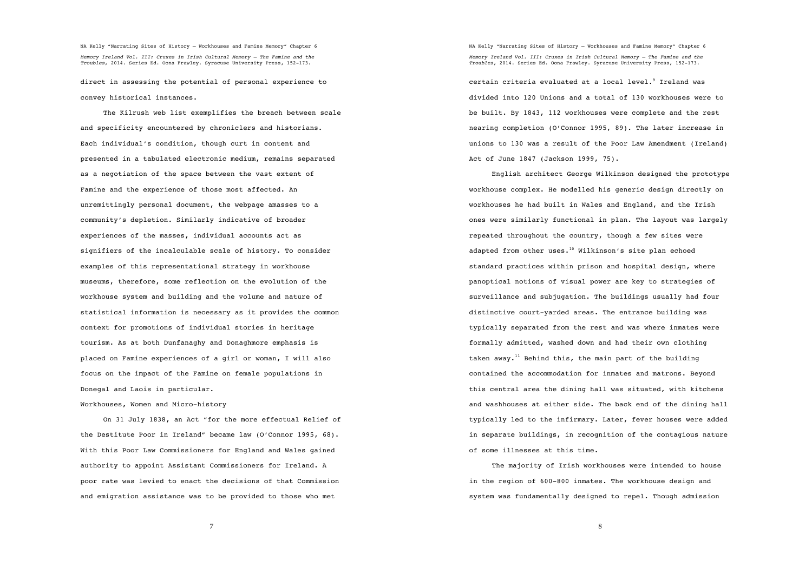direct in assessing the potential of personal experience to convey historical instances.

The Kilrush web list exemplifies the breach between scale and specificity encountered by chroniclers and historians. Each individual's condition, though curt in content and presented in a tabulated electronic medium, remains separated as a negotiation of the space between the vast extent of Famine and the experience of those most affected. An unremittingly personal document, the webpage amasses to a community's depletion. Similarly indicative of broader experiences of the masses, individual accounts act as signifiers of the incalculable scale of history. To consider examples of this representational strategy in workhouse museums, therefore, some reflection on the evolution of the workhouse system and building and the volume and nature of statistical information is necessary as it provides the common context for promotions of individual stories in heritage tourism. As at both Dunfanaghy and Donaghmore emphasis is placed on Famine experiences of a girl or woman, I will also focus on the impact of the Famine on female populations in Donegal and Laois in particular.

Workhouses, Women and Micro-history

On 31 July 1838, an Act "for the more effectual Relief of the Destitute Poor in Ireland" became law (O'Connor 1995, 68). With this Poor Law Commissioners for England and Wales gained authority to appoint Assistant Commissioners for Ireland. A poor rate was levied to enact the decisions of that Commission and emigration assistance was to be provided to those who met

NA Kelly "Narrating Sites of History – Workhouses and Famine Memory" Chapter 6 *Memory Ireland Vol. III: Cruxes in Irish Cultural Memory – The Famine and the Troubles*, 2014. Series Ed. Oona Frawley. Syracuse University Press, 152-173.

certain criteria evaluated at a local level. $^9$  Ireland was divided into 120 Unions and a total of 130 workhouses were to be built. By 1843, 112 workhouses were complete and the rest nearing completion (O'Connor 1995, 89). The later increase in unions to 130 was a result of the Poor Law Amendment (Ireland) Act of June 1847 (Jackson 1999, 75).

English architect George Wilkinson designed the prototype workhouse complex. He modelled his generic design directly on workhouses he had built in Wales and England, and the Irish ones were similarly functional in plan. The layout was largely repeated throughout the country, though a few sites were adapted from other uses.<sup>10</sup> Wilkinson's site plan echoed standard practices within prison and hospital design, where panoptical notions of visual power are key to strategies of surveillance and subjugation. The buildings usually had four distinctive court-yarded areas. The entrance building was typically separated from the rest and was where inmates were formally admitted, washed down and had their own clothing taken away.<sup>11</sup> Behind this, the main part of the building contained the accommodation for inmates and matrons. Beyond this central area the dining hall was situated, with kitchens and washhouses at either side. The back end of the dining hall typically led to the infirmary. Later, fever houses were added in separate buildings, in recognition of the contagious nature of some illnesses at this time.

The majority of Irish workhouses were intended to house in the region of 600-800 inmates. The workhouse design and system was fundamentally designed to repel. Though admission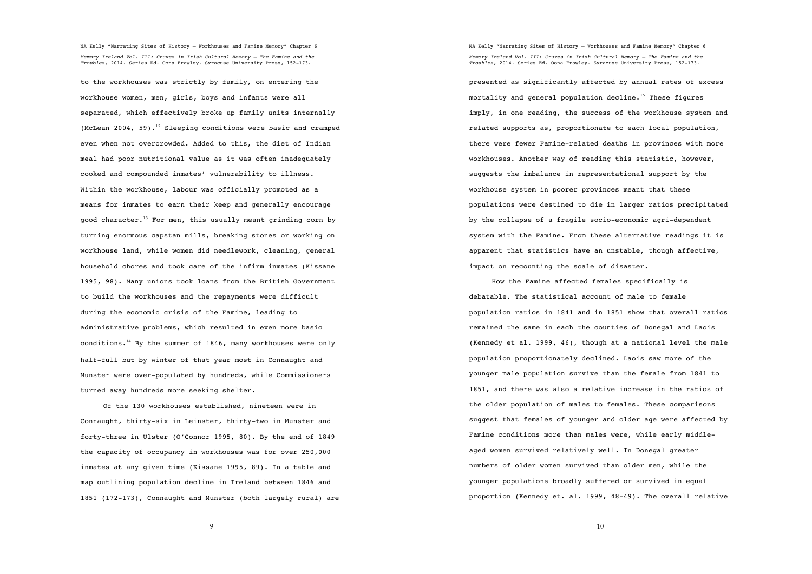to the workhouses was strictly by family, on entering the workhouse women, men, girls, boys and infants were all separated, which effectively broke up family units internally (McLean 2004, 59).<sup>12</sup> Sleeping conditions were basic and cramped even when not overcrowded. Added to this, the diet of Indian meal had poor nutritional value as it was often inadequately cooked and compounded inmates' vulnerability to illness. Within the workhouse, labour was officially promoted as a means for inmates to earn their keep and generally encourage good character.<sup>13</sup> For men, this usually meant grinding corn by turning enormous capstan mills, breaking stones or working on workhouse land, while women did needlework, cleaning, general household chores and took care of the infirm inmates (Kissane 1995, 98). Many unions took loans from the British Government to build the workhouses and the repayments were difficult during the economic crisis of the Famine, leading to administrative problems, which resulted in even more basic conditions.<sup>14</sup> By the summer of 1846, many workhouses were only half-full but by winter of that year most in Connaught and Munster were over-populated by hundreds, while Commissioners turned away hundreds more seeking shelter.

Of the 130 workhouses established, nineteen were in Connaught, thirty-six in Leinster, thirty-two in Munster and forty-three in Ulster (O'Connor 1995, 80). By the end of 1849 the capacity of occupancy in workhouses was for over 250,000 inmates at any given time (Kissane 1995, 89). In a table and map outlining population decline in Ireland between 1846 and 1851 (172-173), Connaught and Munster (both largely rural) are NA Kelly "Narrating Sites of History – Workhouses and Famine Memory" Chapter 6 *Memory Ireland Vol. III: Cruxes in Irish Cultural Memory – The Famine and the Troubles*, 2014. Series Ed. Oona Frawley. Syracuse University Press, 152-173.

presented as significantly affected by annual rates of excess mortality and general population decline.<sup>15</sup> These figures imply, in one reading, the success of the workhouse system and related supports as, proportionate to each local population, there were fewer Famine-related deaths in provinces with more workhouses. Another way of reading this statistic, however, suggests the imbalance in representational support by the workhouse system in poorer provinces meant that these populations were destined to die in larger ratios precipitated by the collapse of a fragile socio-economic agri-dependent system with the Famine. From these alternative readings it is apparent that statistics have an unstable, though affective, impact on recounting the scale of disaster.

How the Famine affected females specifically is debatable. The statistical account of male to female population ratios in 1841 and in 1851 show that overall ratios remained the same in each the counties of Donegal and Laois (Kennedy et al. 1999, 46), though at a national level the male population proportionately declined. Laois saw more of the younger male population survive than the female from 1841 to 1851, and there was also a relative increase in the ratios of the older population of males to females. These comparisons suggest that females of younger and older age were affected by Famine conditions more than males were, while early middleaged women survived relatively well. In Donegal greater numbers of older women survived than older men, while the younger populations broadly suffered or survived in equal proportion (Kennedy et. al. 1999, 48-49). The overall relative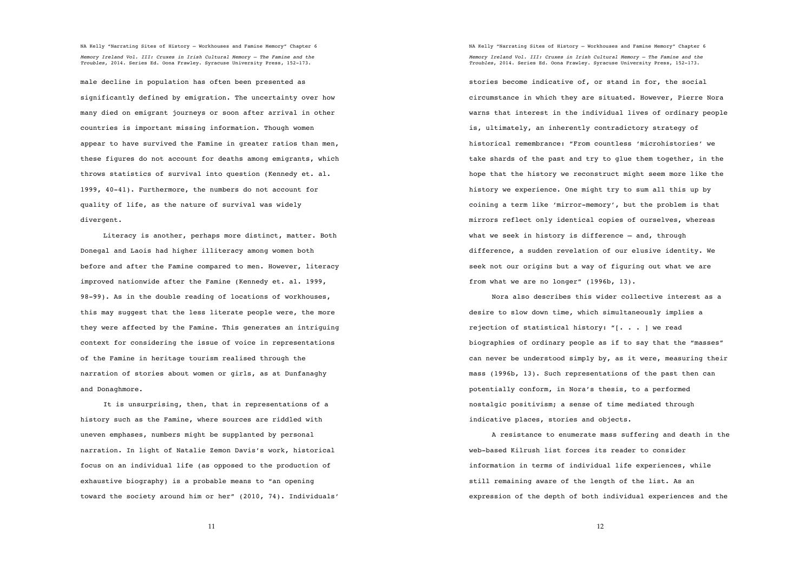male decline in population has often been presented as significantly defined by emigration. The uncertainty over how many died on emigrant journeys or soon after arrival in other countries is important missing information. Though women appear to have survived the Famine in greater ratios than men, these figures do not account for deaths among emigrants, which throws statistics of survival into question (Kennedy et. al. 1999, 40-41). Furthermore, the numbers do not account for quality of life, as the nature of survival was widely divergent.

Literacy is another, perhaps more distinct, matter. Both Donegal and Laois had higher illiteracy among women both before and after the Famine compared to men. However, literacy improved nationwide after the Famine (Kennedy et. al. 1999, 98-99). As in the double reading of locations of workhouses, this may suggest that the less literate people were, the more they were affected by the Famine. This generates an intriguing context for considering the issue of voice in representations of the Famine in heritage tourism realised through the narration of stories about women or girls, as at Dunfanaghy and Donaghmore.

It is unsurprising, then, that in representations of a history such as the Famine, where sources are riddled with uneven emphases, numbers might be supplanted by personal narration. In light of Natalie Zemon Davis's work, historical focus on an individual life (as opposed to the production of exhaustive biography) is a probable means to "an opening toward the society around him or her" (2010, 74). Individuals' NA Kelly "Narrating Sites of History – Workhouses and Famine Memory" Chapter 6 *Memory Ireland Vol. III: Cruxes in Irish Cultural Memory – The Famine and the Troubles*, 2014. Series Ed. Oona Frawley. Syracuse University Press, 152-173.

stories become indicative of, or stand in for, the social circumstance in which they are situated. However, Pierre Nora warns that interest in the individual lives of ordinary people is, ultimately, an inherently contradictory strategy of historical remembrance: "From countless 'microhistories' we take shards of the past and try to glue them together, in the hope that the history we reconstruct might seem more like the history we experience. One might try to sum all this up by coining a term like 'mirror-memory', but the problem is that mirrors reflect only identical copies of ourselves, whereas what we seek in history is difference – and, through difference, a sudden revelation of our elusive identity. We seek not our origins but a way of figuring out what we are from what we are no longer" (1996b, 13).

Nora also describes this wider collective interest as a desire to slow down time, which simultaneously implies a rejection of statistical history: "[. . . ] we read biographies of ordinary people as if to say that the "masses" can never be understood simply by, as it were, measuring their mass (1996b, 13). Such representations of the past then can potentially conform, in Nora's thesis, to a performed nostalgic positivism; a sense of time mediated through indicative places, stories and objects.

A resistance to enumerate mass suffering and death in the web-based Kilrush list forces its reader to consider information in terms of individual life experiences, while still remaining aware of the length of the list. As an expression of the depth of both individual experiences and the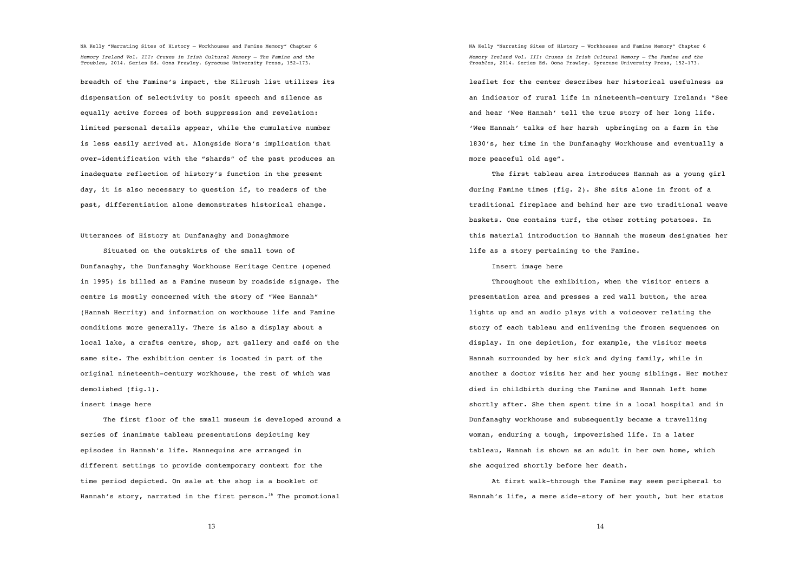breadth of the Famine's impact, the Kilrush list utilizes its dispensation of selectivity to posit speech and silence as equally active forces of both suppression and revelation: limited personal details appear, while the cumulative number is less easily arrived at. Alongside Nora's implication that over-identification with the "shards" of the past produces an inadequate reflection of history's function in the present day, it is also necessary to question if, to readers of the past, differentiation alone demonstrates historical change.

#### Utterances of History at Dunfanaghy and Donaghmore

Situated on the outskirts of the small town of Dunfanaghy, the Dunfanaghy Workhouse Heritage Centre (opened in 1995) is billed as a Famine museum by roadside signage. The centre is mostly concerned with the story of "Wee Hannah" (Hannah Herrity) and information on workhouse life and Famine conditions more generally. There is also a display about a local lake, a crafts centre, shop, art gallery and café on the same site. The exhibition center is located in part of the original nineteenth-century workhouse, the rest of which was demolished (fig.1).

# insert image here

The first floor of the small museum is developed around a series of inanimate tableau presentations depicting key episodes in Hannah's life. Mannequins are arranged in different settings to provide contemporary context for the time period depicted. On sale at the shop is a booklet of Hannah's story, narrated in the first person.<sup>16</sup> The promotional

NA Kelly "Narrating Sites of History – Workhouses and Famine Memory" Chapter 6 *Memory Ireland Vol. III: Cruxes in Irish Cultural Memory – The Famine and the Troubles*, 2014. Series Ed. Oona Frawley. Syracuse University Press, 152-173.

leaflet for the center describes her historical usefulness as an indicator of rural life in nineteenth-century Ireland: "See and hear 'Wee Hannah' tell the true story of her long life. 'Wee Hannah' talks of her harsh upbringing on a farm in the 1830's, her time in the Dunfanaghy Workhouse and eventually a more peaceful old age".

The first tableau area introduces Hannah as a young girl during Famine times (fig. 2). She sits alone in front of a traditional fireplace and behind her are two traditional weave baskets. One contains turf, the other rotting potatoes. In this material introduction to Hannah the museum designates her life as a story pertaining to the Famine.

### Insert image here

Throughout the exhibition, when the visitor enters a presentation area and presses a red wall button, the area lights up and an audio plays with a voiceover relating the story of each tableau and enlivening the frozen sequences on display. In one depiction, for example, the visitor meets Hannah surrounded by her sick and dying family, while in another a doctor visits her and her young siblings. Her mother died in childbirth during the Famine and Hannah left home shortly after. She then spent time in a local hospital and in Dunfanaghy workhouse and subsequently became a travelling woman, enduring a tough, impoverished life. In a later tableau, Hannah is shown as an adult in her own home, which she acquired shortly before her death.

At first walk-through the Famine may seem peripheral to Hannah's life, a mere side-story of her youth, but her status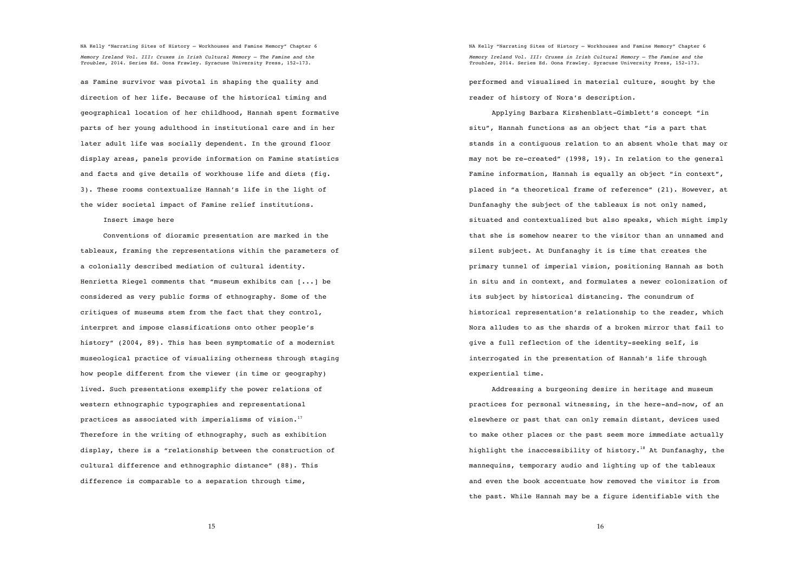as Famine survivor was pivotal in shaping the quality and direction of her life. Because of the historical timing and geographical location of her childhood, Hannah spent formative parts of her young adulthood in institutional care and in her later adult life was socially dependent. In the ground floor display areas, panels provide information on Famine statistics and facts and give details of workhouse life and diets (fig. 3). These rooms contextualize Hannah's life in the light of the wider societal impact of Famine relief institutions.

Insert image here

Conventions of dioramic presentation are marked in the tableaux, framing the representations within the parameters of a colonially described mediation of cultural identity. Henrietta Riegel comments that "museum exhibits can [...] be considered as very public forms of ethnography. Some of the critiques of museums stem from the fact that they control, interpret and impose classifications onto other people's history" (2004, 89). This has been symptomatic of a modernist museological practice of visualizing otherness through staging how people different from the viewer (in time or geography) lived. Such presentations exemplify the power relations of western ethnographic typographies and representational practices as associated with imperialisms of vision.<sup>17</sup> Therefore in the writing of ethnography, such as exhibition display, there is a "relationship between the construction of cultural difference and ethnographic distance" (88). This difference is comparable to a separation through time,

NA Kelly "Narrating Sites of History – Workhouses and Famine Memory" Chapter 6 *Memory Ireland Vol. III: Cruxes in Irish Cultural Memory – The Famine and the Troubles*, 2014. Series Ed. Oona Frawley. Syracuse University Press, 152-173.

performed and visualised in material culture, sought by the reader of history of Nora's description.

Applying Barbara Kirshenblatt-Gimblett's concept "in situ", Hannah functions as an object that "is a part that stands in a contiguous relation to an absent whole that may or may not be re-created" (1998, 19). In relation to the general Famine information, Hannah is equally an object "in context", placed in "a theoretical frame of reference" (21). However, at Dunfanaghy the subject of the tableaux is not only named, situated and contextualized but also speaks, which might imply that she is somehow nearer to the visitor than an unnamed and silent subject. At Dunfanaghy it is time that creates the primary tunnel of imperial vision, positioning Hannah as both in situ and in context, and formulates a newer colonization of its subject by historical distancing. The conundrum of historical representation's relationship to the reader, which Nora alludes to as the shards of a broken mirror that fail to give a full reflection of the identity-seeking self, is interrogated in the presentation of Hannah's life through experiential time.

Addressing a burgeoning desire in heritage and museum practices for personal witnessing, in the here-and-now, of an elsewhere or past that can only remain distant, devices used to make other places or the past seem more immediate actually highlight the inaccessibility of history.<sup>18</sup> At Dunfanaghy, the mannequins, temporary audio and lighting up of the tableaux and even the book accentuate how removed the visitor is from the past. While Hannah may be a figure identifiable with the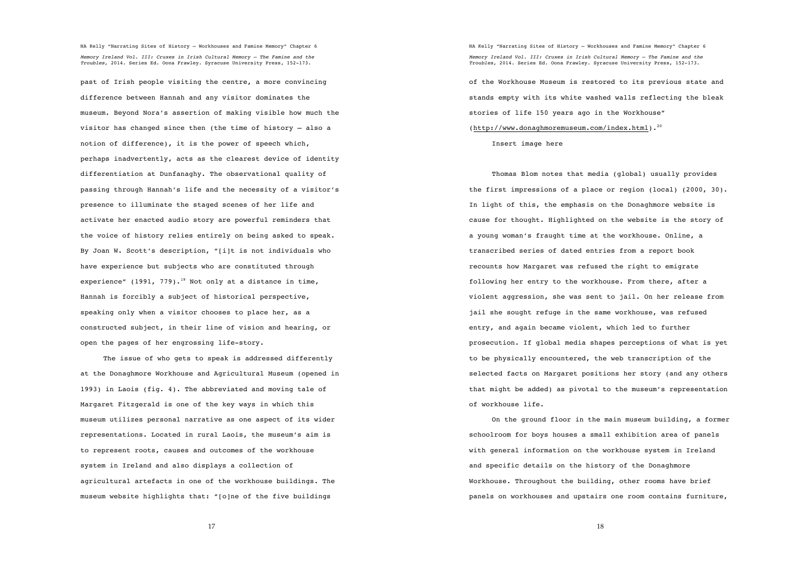past of Irish people visiting the centre, a more convincing difference between Hannah and any visitor dominates the museum. Beyond Nora's assertion of making visible how much the visitor has changed since then (the time of history – also a notion of difference), it is the power of speech which, perhaps inadvertently, acts as the clearest device of identity differentiation at Dunfanaghy. The observational quality of passing through Hannah's life and the necessity of a visitor's presence to illuminate the staged scenes of her life and activate her enacted audio story are powerful reminders that the voice of history relies entirely on being asked to speak. By Joan W. Scott's description, "[i]t is not individuals who have experience but subjects who are constituted through experience" (1991, 779).<sup>19</sup> Not only at a distance in time, Hannah is forcibly a subject of historical perspective, speaking only when a visitor chooses to place her, as a constructed subject, in their line of vision and hearing, or open the pages of her engrossing life-story.

The issue of who gets to speak is addressed differently at the Donaghmore Workhouse and Agricultural Museum (opened in 1993) in Laois (fig. 4). The abbreviated and moving tale of Margaret Fitzgerald is one of the key ways in which this museum utilizes personal narrative as one aspect of its wider representations. Located in rural Laois, the museum's aim is to represent roots, causes and outcomes of the workhouse system in Ireland and also displays a collection of agricultural artefacts in one of the workhouse buildings. The museum website highlights that: "[o]ne of the five buildings

NA Kelly "Narrating Sites of History – Workhouses and Famine Memory" Chapter 6 *Memory Ireland Vol. III: Cruxes in Irish Cultural Memory – The Famine and the Troubles*, 2014. Series Ed. Oona Frawley. Syracuse University Press, 152-173. of the Workhouse Museum is restored to its previous state and stands empty with its white washed walls reflecting the bleak stories of life 150 years ago in the Workhouse" (http://www.donaghmoremuseum.com/index.html).<sup>20</sup>

Insert image here

Thomas Blom notes that media (global) usually provides the first impressions of a place or region (local) (2000, 30). In light of this, the emphasis on the Donaghmore website is cause for thought. Highlighted on the website is the story of a young woman's fraught time at the workhouse. Online, a transcribed series of dated entries from a report book recounts how Margaret was refused the right to emigrate following her entry to the workhouse. From there, after a violent aggression, she was sent to jail. On her release from jail she sought refuge in the same workhouse, was refused entry, and again became violent, which led to further prosecution. If global media shapes perceptions of what is yet to be physically encountered, the web transcription of the selected facts on Margaret positions her story (and any others that might be added) as pivotal to the museum's representation of workhouse life.

On the ground floor in the main museum building, a former schoolroom for boys houses a small exhibition area of panels with general information on the workhouse system in Ireland and specific details on the history of the Donaghmore Workhouse. Throughout the building, other rooms have brief panels on workhouses and upstairs one room contains furniture,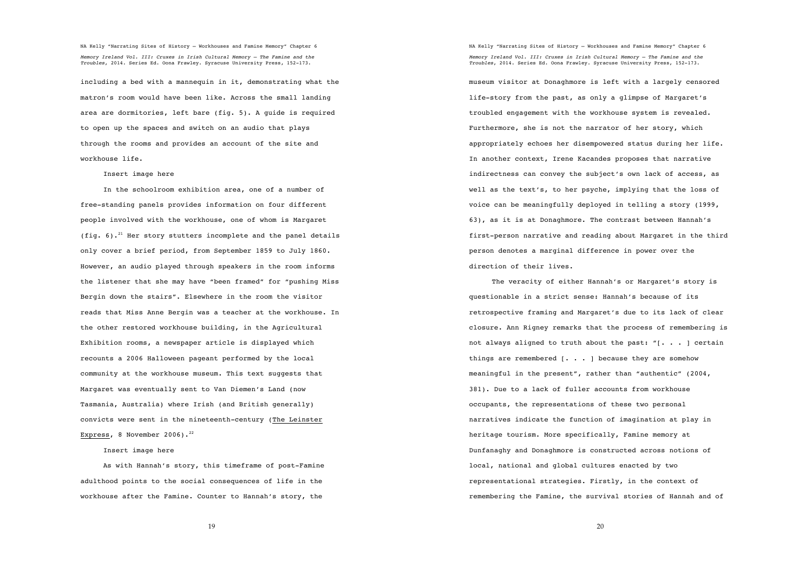including a bed with a mannequin in it, demonstrating what the matron's room would have been like. Across the small landing area are dormitories, left bare (fig. 5). A guide is required to open up the spaces and switch on an audio that plays through the rooms and provides an account of the site and workhouse life.

Insert image here

In the schoolroom exhibition area, one of a number of free-standing panels provides information on four different people involved with the workhouse, one of whom is Margaret (fig. 6).<sup>21</sup> Her story stutters incomplete and the panel details only cover a brief period, from September 1859 to July 1860. However, an audio played through speakers in the room informs the listener that she may have "been framed" for "pushing Miss Bergin down the stairs". Elsewhere in the room the visitor reads that Miss Anne Bergin was a teacher at the workhouse. In the other restored workhouse building, in the Agricultural Exhibition rooms, a newspaper article is displayed which recounts a 2006 Halloween pageant performed by the local community at the workhouse museum. This text suggests that Margaret was eventually sent to Van Diemen's Land (now Tasmania, Australia) where Irish (and British generally) convicts were sent in the nineteenth-century (The Leinster Express, 8 November 2006). $^{22}$ 

Insert image here

As with Hannah's story, this timeframe of post-Famine adulthood points to the social consequences of life in the workhouse after the Famine. Counter to Hannah's story, the

NA Kelly "Narrating Sites of History – Workhouses and Famine Memory" Chapter 6 *Memory Ireland Vol. III: Cruxes in Irish Cultural Memory – The Famine and the Troubles*, 2014. Series Ed. Oona Frawley. Syracuse University Press, 152-173.

museum visitor at Donaghmore is left with a largely censored life-story from the past, as only a glimpse of Margaret's troubled engagement with the workhouse system is revealed. Furthermore, she is not the narrator of her story, which appropriately echoes her disempowered status during her life. In another context, Irene Kacandes proposes that narrative indirectness can convey the subject's own lack of access, as well as the text's, to her psyche, implying that the loss of voice can be meaningfully deployed in telling a story (1999, 63), as it is at Donaghmore. The contrast between Hannah's first-person narrative and reading about Margaret in the third person denotes a marginal difference in power over the direction of their lives.

The veracity of either Hannah's or Margaret's story is questionable in a strict sense: Hannah's because of its retrospective framing and Margaret's due to its lack of clear closure. Ann Rigney remarks that the process of remembering is not always aligned to truth about the past: "[... ] certain things are remembered  $\lceil . . . \rceil$  because they are somehow meaningful in the present", rather than "authentic" (2004, 381). Due to a lack of fuller accounts from workhouse occupants, the representations of these two personal narratives indicate the function of imagination at play in heritage tourism. More specifically, Famine memory at Dunfanaghy and Donaghmore is constructed across notions of local, national and global cultures enacted by two representational strategies. Firstly, in the context of remembering the Famine, the survival stories of Hannah and of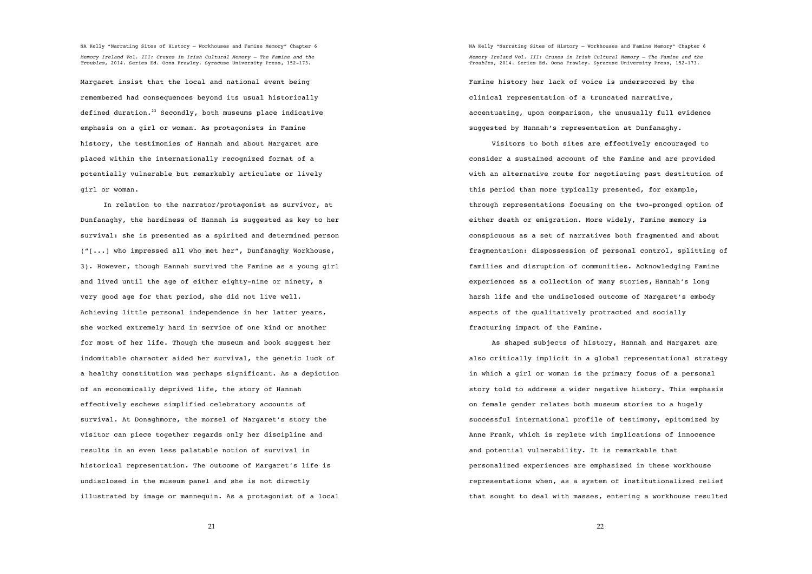Margaret insist that the local and national event being remembered had consequences beyond its usual historically defined duration. $^{23}$  Secondly, both museums place indicative emphasis on a girl or woman. As protagonists in Famine history, the testimonies of Hannah and about Margaret are placed within the internationally recognized format of a potentially vulnerable but remarkably articulate or lively girl or woman.

In relation to the narrator/protagonist as survivor, at Dunfanaghy, the hardiness of Hannah is suggested as key to her survival: she is presented as a spirited and determined person ("[...] who impressed all who met her", Dunfanaghy Workhouse, 3). However, though Hannah survived the Famine as a young girl and lived until the age of either eighty-nine or ninety, a very good age for that period, she did not live well. Achieving little personal independence in her latter years, she worked extremely hard in service of one kind or another for most of her life. Though the museum and book suggest her indomitable character aided her survival, the genetic luck of a healthy constitution was perhaps significant. As a depiction of an economically deprived life, the story of Hannah effectively eschews simplified celebratory accounts of survival. At Donaghmore, the morsel of Margaret's story the visitor can piece together regards only her discipline and results in an even less palatable notion of survival in historical representation. The outcome of Margaret's life is undisclosed in the museum panel and she is not directly illustrated by image or mannequin. As a protagonist of a local

NA Kelly "Narrating Sites of History – Workhouses and Famine Memory" Chapter 6 *Memory Ireland Vol. III: Cruxes in Irish Cultural Memory – The Famine and the Troubles*, 2014. Series Ed. Oona Frawley. Syracuse University Press, 152-173. Famine history her lack of voice is underscored by the

clinical representation of a truncated narrative, accentuating, upon comparison, the unusually full evidence suggested by Hannah's representation at Dunfanaghy.

Visitors to both sites are effectively encouraged to consider a sustained account of the Famine and are provided with an alternative route for negotiating past destitution of this period than more typically presented, for example, through representations focusing on the two-pronged option of either death or emigration. More widely, Famine memory is conspicuous as a set of narratives both fragmented and about fragmentation: dispossession of personal control, splitting of families and disruption of communities. Acknowledging Famine experiences as a collection of many stories, Hannah's long harsh life and the undisclosed outcome of Margaret's embody aspects of the qualitatively protracted and socially fracturing impact of the Famine.

As shaped subjects of history, Hannah and Margaret are also critically implicit in a global representational strategy in which a girl or woman is the primary focus of a personal story told to address a wider negative history. This emphasis on female gender relates both museum stories to a hugely successful international profile of testimony, epitomized by Anne Frank, which is replete with implications of innocence and potential vulnerability. It is remarkable that personalized experiences are emphasized in these workhouse representations when, as a system of institutionalized relief that sought to deal with masses, entering a workhouse resulted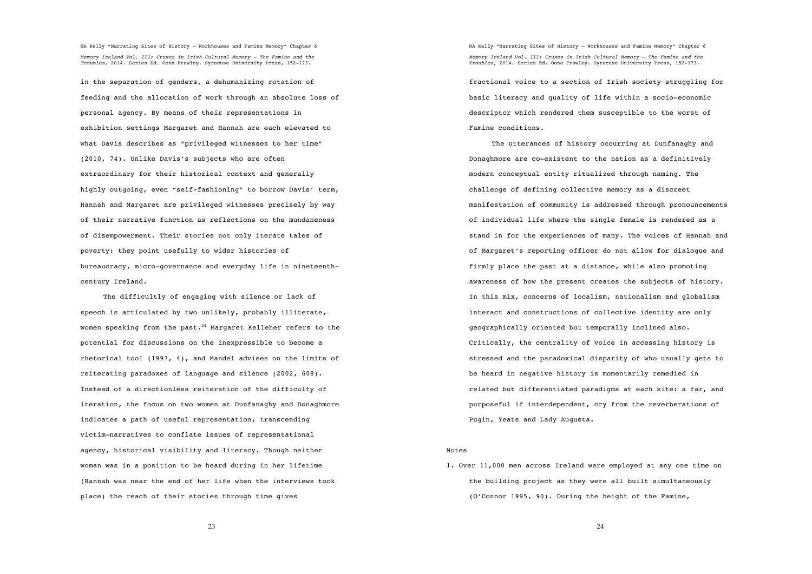in the separation of genders, a dehumanizing rotation of feeding and the allocation of work through an absolute loss of personal agency. By means of their representations in exhibition settings Margaret and Hannah are each elevated to what Davis describes as "privileged witnesses to her time" (2010, 74). Unlike Davis's subjects who are often extraordinary for their historical context and generally highly outgoing, even "self-fashioning" to borrow Davis' term, Hannah and Margaret are privileged witnesses precisely by way of their narrative function as reflections on the mundaneness of disempowerment. Their stories not only iterate tales of poverty: they point usefully to wider histories of bureaucracy, micro-governance and everyday life in nineteenthcentury Ireland.

The difficultly of engaging with silence or lack of speech is articulated by two unlikely, probably illiterate, women speaking from the past. $^{24}$  Margaret Kelleher refers to the potential for discussions on the inexpressible to become a rhetorical tool (1997, 4), and Mandel advises on the limits of reiterating paradoxes of language and silence (2002, 608). Instead of a directionless reiteration of the difficulty of iteration, the focus on two women at Dunfanaghy and Donaghmore indicates a path of useful representation, transcending victim–narratives to conflate issues of representational agency, historical visibility and literacy. Though neither woman was in a position to be heard during in her lifetime (Hannah was near the end of her life when the interviews took place) the reach of their stories through time gives

NA Kelly "Narrating Sites of History – Workhouses and Famine Memory" Chapter 6 *Memory Ireland Vol. III: Cruxes in Irish Cultural Memory – The Famine and the Troubles*, 2014. Series Ed. Oona Frawley. Syracuse University Press, 152-173. fractional voice to a section of Irish society struggling for

basic literacy and quality of life within a socio-economic descriptor which rendered them susceptible to the worst of Famine conditions.

The utterances of history occurring at Dunfanaghy and Donaghmore are co-existent to the nation as a definitively modern conceptual entity ritualized through naming. The challenge of defining collective memory as a discreet manifestation of community is addressed through pronouncements of individual life where the single female is rendered as a stand in for the experiences of many. The voices of Hannah and of Margaret's reporting officer do not allow for dialogue and firmly place the past at a distance, while also promoting awareness of how the present creates the subjects of history. In this mix, concerns of localism, nationalism and globalism interact and constructions of collective identity are only geographically oriented but temporally inclined also. Critically, the centrality of voice in accessing history is stressed and the paradoxical disparity of who usually gets to be heard in negative history is momentarily remedied in related but differentiated paradigms at each site: a far, and purposeful if interdependent, cry from the reverberations of Pugin, Yeats and Lady Augusta.

#### Notes

1. Over 11,000 men across Ireland were employed at any one time on the building project as they were all built simultaneously (O'Connor 1995, 90). During the height of the Famine,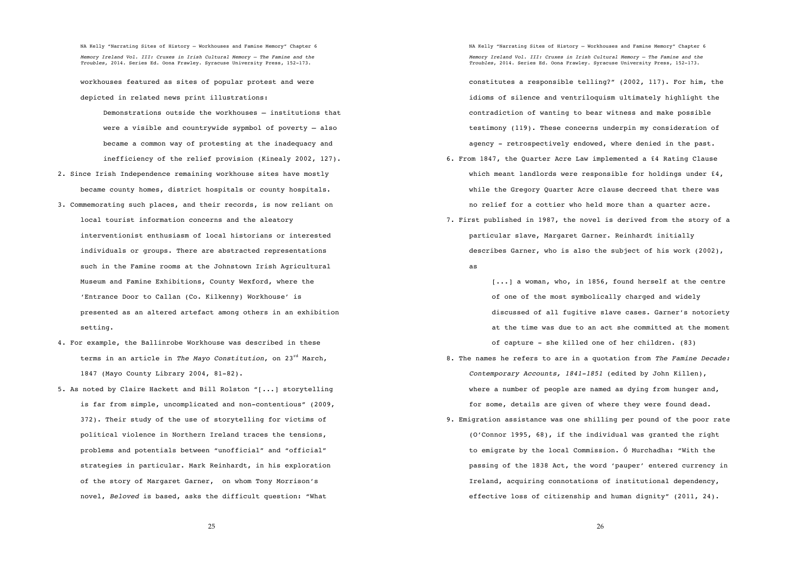workhouses featured as sites of popular protest and were depicted in related news print illustrations:

Demonstrations outside the workhouses – institutions that were a visible and countrywide sypmbol of poverty – also became a common way of protesting at the inadequacy and inefficiency of the relief provision (Kinealy 2002, 127).

- 2. Since Irish Independence remaining workhouse sites have mostly became county homes, district hospitals or county hospitals.
- 3. Commemorating such places, and their records, is now reliant on local tourist information concerns and the aleatory interventionist enthusiasm of local historians or interested individuals or groups. There are abstracted representations such in the Famine rooms at the Johnstown Irish Agricultural Museum and Famine Exhibitions, County Wexford, where the 'Entrance Door to Callan (Co. Kilkenny) Workhouse' is presented as an altered artefact among others in an exhibition setting.
- 4. For example, the Ballinrobe Workhouse was described in these terms in an article in *The Mayo Constitution*, on 23rd March, 1847 (Mayo County Library 2004, 81-82).
- 5. As noted by Claire Hackett and Bill Rolston "[...] storytelling is far from simple, uncomplicated and non-contentious" (2009, 372). Their study of the use of storytelling for victims of political violence in Northern Ireland traces the tensions, problems and potentials between "unofficial" and "official" strategies in particular. Mark Reinhardt, in his exploration of the story of Margaret Garner, on whom Tony Morrison's novel, *Beloved* is based, asks the difficult question: "What

NA Kelly "Narrating Sites of History – Workhouses and Famine Memory" Chapter 6 *Memory Ireland Vol. III: Cruxes in Irish Cultural Memory – The Famine and the Troubles*, 2014. Series Ed. Oona Frawley. Syracuse University Press, 152-173.

constitutes a responsible telling?" (2002, 117). For him, the idioms of silence and ventriloquism ultimately highlight the contradiction of wanting to bear witness and make possible testimony (119). These concerns underpin my consideration of agency - retrospectively endowed, where denied in the past.

- 6. From 1847, the Quarter Acre Law implemented a £4 Rating Clause which meant landlords were responsible for holdings under £4, while the Gregory Quarter Acre clause decreed that there was no relief for a cottier who held more than a quarter acre.
- 7. First published in 1987, the novel is derived from the story of a particular slave, Margaret Garner. Reinhardt initially describes Garner, who is also the subject of his work (2002),
	- as

[...] a woman, who, in 1856, found herself at the centre of one of the most symbolically charged and widely discussed of all fugitive slave cases. Garner's notoriety at the time was due to an act she committed at the moment of capture - she killed one of her children. (83)

- 8. The names he refers to are in a quotation from *The Famine Decade: Contemporary Accounts, 1841-1851* (edited by John Killen), where a number of people are named as dying from hunger and, for some, details are given of where they were found dead.
- 9. Emigration assistance was one shilling per pound of the poor rate (O'Connor 1995, 68), if the individual was granted the right to emigrate by the local Commission. Ó Murchadha: "With the passing of the 1838 Act, the word 'pauper' entered currency in Ireland, acquiring connotations of institutional dependency, effective loss of citizenship and human dignity" (2011, 24).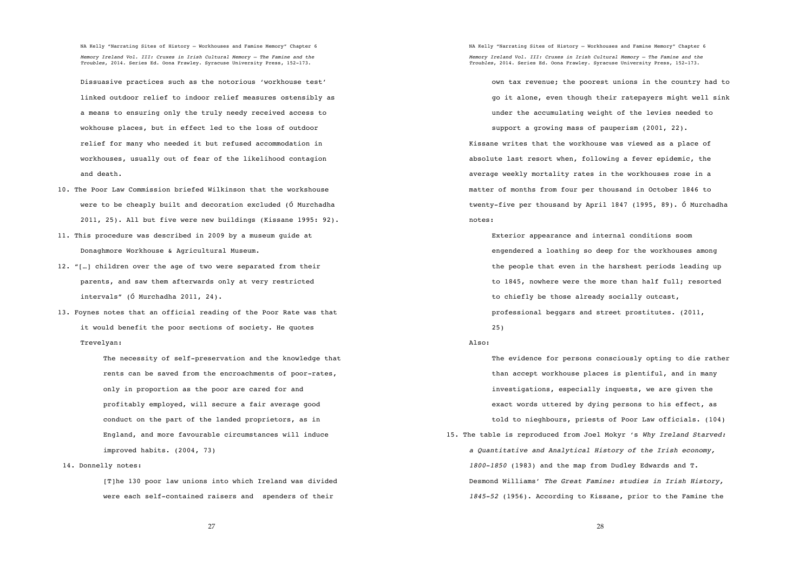Dissuasive practices such as the notorious 'workhouse test' linked outdoor relief to indoor relief measures ostensibly as a means to ensuring only the truly needy received access to wokhouse places, but in effect led to the loss of outdoor relief for many who needed it but refused accommodation in workhouses, usually out of fear of the likelihood contagion and death.

- 10. The Poor Law Commission briefed Wilkinson that the workshouse were to be cheaply built and decoration excluded (Ó Murchadha 2011, 25). All but five were new buildings (Kissane 1995: 92).
- 11. This procedure was described in 2009 by a museum guide at Donaghmore Workhouse & Agricultural Museum.
- 12. "[…] children over the age of two were separated from their parents, and saw them afterwards only at very restricted intervals" (Ó Murchadha 2011, 24).
- 13. Foynes notes that an official reading of the Poor Rate was that it would benefit the poor sections of society. He quotes Trevelyan:

The necessity of self-preservation and the knowledge that rents can be saved from the encroachments of poor-rates, only in proportion as the poor are cared for and profitably employed, will secure a fair average good conduct on the part of the landed proprietors, as in England, and more favourable circumstances will induce improved habits. (2004, 73)

14. Donnelly notes:

[T]he 130 poor law unions into which Ireland was divided were each self-contained raisers and spenders of their

NA Kelly "Narrating Sites of History – Workhouses and Famine Memory" Chapter 6 *Memory Ireland Vol. III: Cruxes in Irish Cultural Memory – The Famine and the Troubles*, 2014. Series Ed. Oona Frawley. Syracuse University Press, 152-173.

own tax revenue; the poorest unions in the country had to go it alone, even though their ratepayers might well sink under the accumulating weight of the levies needed to support a growing mass of pauperism (2001, 22). Kissane writes that the workhouse was viewed as a place of absolute last resort when, following a fever epidemic, the average weekly mortality rates in the workhouses rose in a matter of months from four per thousand in October 1846 to twenty-five per thousand by April 1847 (1995, 89). Ó Murchadha notes:

Exterior appearance and internal conditions soom engendered a loathing so deep for the workhouses among the people that even in the harshest periods leading up to 1845, nowhere were the more than half full; resorted to chiefly be those already socially outcast, professional beggars and street prostitutes. (2011,

25)

## Also:

The evidence for persons consciously opting to die rather than accept workhouse places is plentiful, and in many investigations, especially inquests, we are given the exact words uttered by dying persons to his effect, as told to nieghbours, priests of Poor Law officials. (104) 15. The table is reproduced from Joel Mokyr 's *Why Ireland Starved: a Quantitative and Analytical History of the Irish economy, 1800-1850* (1983) and the map from Dudley Edwards and T. Desmond Williams' *The Great Famine: studies in Irish History, 1845-52* (1956). According to Kissane, prior to the Famine the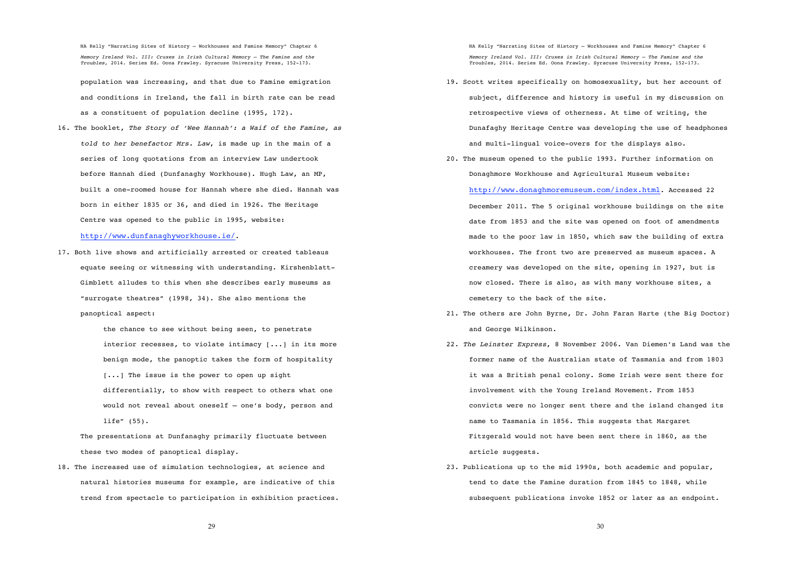population was increasing, and that due to Famine emigration and conditions in Ireland, the fall in birth rate can be read as a constituent of population decline (1995, 172).

16. The booklet, *The Story of 'Wee Hannah': a Waif of the Famine, as told to her benefactor Mrs. Law*, is made up in the main of a series of long quotations from an interview Law undertook before Hannah died (Dunfanaghy Workhouse). Hugh Law, an MP, built a one-roomed house for Hannah where she died. Hannah was born in either 1835 or 36, and died in 1926. The Heritage Centre was opened to the public in 1995, website:

# http://www.dunfanaghyworkhouse.ie/.

17. Both live shows and artificially arrested or created tableaus equate seeing or witnessing with understanding. Kirshenblatt-Gimblett alludes to this when she describes early museums as "surrogate theatres" (1998, 34). She also mentions the panoptical aspect:

> the chance to see without being seen, to penetrate interior recesses, to violate intimacy [...] in its more benign mode, the panoptic takes the form of hospitality [...] The issue is the power to open up sight differentially, to show with respect to others what one would not reveal about oneself – one's body, person and life" (55).

The presentations at Dunfanaghy primarily fluctuate between these two modes of panoptical display.

18. The increased use of simulation technologies, at science and natural histories museums for example, are indicative of this trend from spectacle to participation in exhibition practices. NA Kelly "Narrating Sites of History – Workhouses and Famine Memory" Chapter 6 *Memory Ireland Vol. III: Cruxes in Irish Cultural Memory – The Famine and the Troubles*, 2014. Series Ed. Oona Frawley. Syracuse University Press, 152-173.

- 19. Scott writes specifically on homosexuality, but her account of subject, difference and history is useful in my discussion on retrospective views of otherness. At time of writing, the Dunafaghy Heritage Centre was developing the use of headphones and multi-lingual voice-overs for the displays also.
- 20. The museum opened to the public 1993. Further information on Donaghmore Workhouse and Agricultural Museum website:

http://www.donaghmoremuseum.com/index.html. Accessed 22 December 2011. The 5 original workhouse buildings on the site date from 1853 and the site was opened on foot of amendments made to the poor law in 1850, which saw the building of extra workhouses. The front two are preserved as museum spaces. A creamery was developed on the site, opening in 1927, but is now closed. There is also, as with many workhouse sites, a cemetery to the back of the site.

- 21. The others are John Byrne, Dr. John Faran Harte (the Big Doctor) and George Wilkinson.
- 22. *The Leinster Express*, 8 November 2006. Van Diemen's Land was the former name of the Australian state of Tasmania and from 1803 it was a British penal colony. Some Irish were sent there for involvement with the Young Ireland Movement. From 1853 convicts were no longer sent there and the island changed its name to Tasmania in 1856. This suggests that Margaret Fitzgerald would not have been sent there in 1860, as the article suggests.
- 23. Publications up to the mid 1990s, both academic and popular, tend to date the Famine duration from 1845 to 1848, while subsequent publications invoke 1852 or later as an endpoint.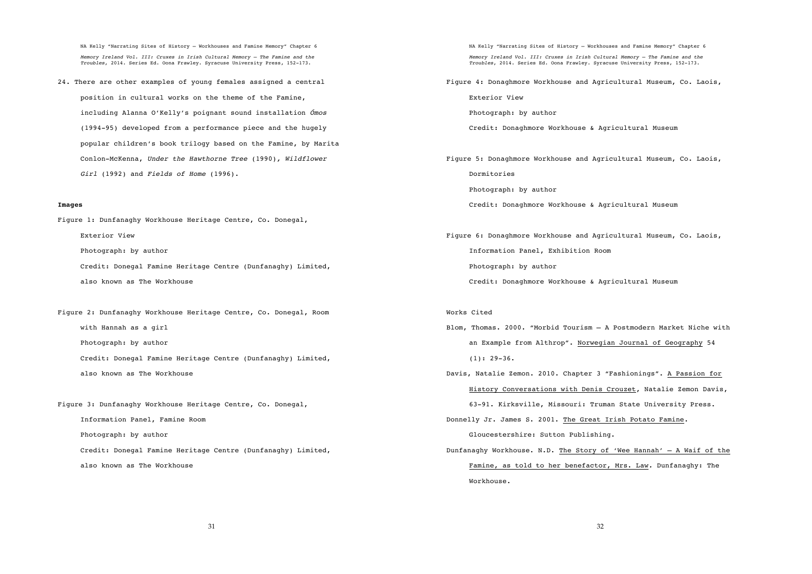24. There are other examples of young females assigned a central position in cultural works on the theme of the Famine, including Alanna O'Kelly's poignant sound installation *Ómos*  (1994-95) developed from a performance piece and the hugely popular children's book trilogy based on the Famine, by Marita Conlon-McKenna, *Under the Hawthorne Tree* (1990)*, Wildflower Girl* (1992) and *Fields of Home* (1996).

#### **Images**

Figure 1: Dunfanaghy Workhouse Heritage Centre, Co. Donegal,

Exterior View

Photograph: by author

Credit: Donegal Famine Heritage Centre (Dunfanaghy) Limited,

also known as The Workhouse

Figure 2: Dunfanaghy Workhouse Heritage Centre, Co. Donegal, Room with Hannah as a girl

Photograph: by author

Credit: Donegal Famine Heritage Centre (Dunfanaghy) Limited,

also known as The Workhouse

Figure 3: Dunfanaghy Workhouse Heritage Centre, Co. Donegal, Information Panel, Famine Room

Photograph: by author

Credit: Donegal Famine Heritage Centre (Dunfanaghy) Limited, also known as The Workhouse

NA Kelly "Narrating Sites of History – Workhouses and Famine Memory" Chapter 6 *Memory Ireland Vol. III: Cruxes in Irish Cultural Memory – The Famine and the Troubles*, 2014. Series Ed. Oona Frawley. Syracuse University Press, 152-173. Figure 4: Donaghmore Workhouse and Agricultural Museum, Co. Laois, Exterior View Photograph: by author Credit: Donaghmore Workhouse & Agricultural Museum Figure 5: Donaghmore Workhouse and Agricultural Museum, Co. Laois, Dormitories Photograph: by author Credit: Donaghmore Workhouse & Agricultural Museum Figure 6: Donaghmore Workhouse and Agricultural Museum, Co. Laois, Information Panel, Exhibition Room Photograph: by author Credit: Donaghmore Workhouse & Agricultural Museum Works Cited Blom, Thomas. 2000. "Morbid Tourism – A Postmodern Market Niche with an Example from Althrop". Norwegian Journal of Geography 54  $(1): 29-36.$ Davis, Natalie Zemon. 2010. Chapter 3 "Fashionings". A Passion for History Conversations with Denis Crouzet, Natalie Zemon Davis, 63-91. Kirksville, Missouri: Truman State University Press. Donnelly Jr. James S. 2001. The Great Irish Potato Famine. Gloucestershire: Sutton Publishing. Dunfanaghy Workhouse. N.D. The Story of 'Wee Hannah' – A Waif of the Famine, as told to her benefactor, Mrs. Law*.* Dunfanaghy: The Workhouse.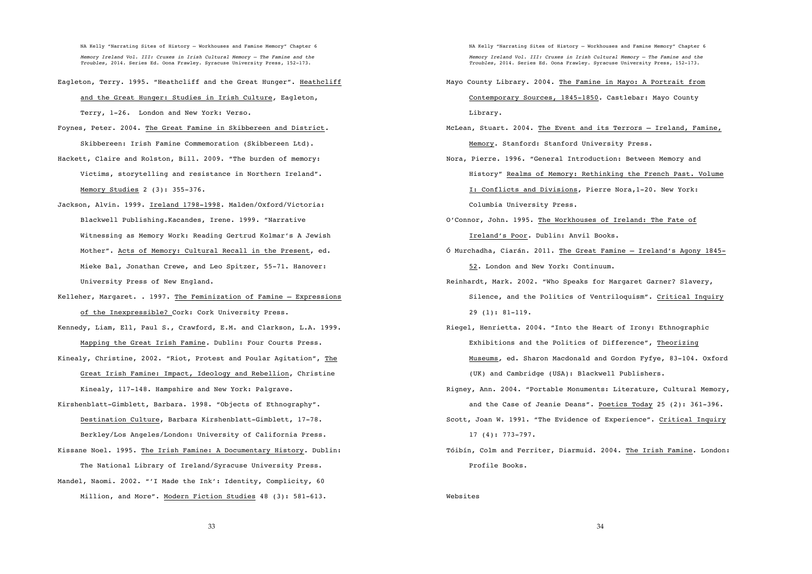NA Kelly "Narrating Sites of History – Workhouses and Famine Memory" Chapter 6

*Memory Ireland Vol. III: Cruxes in Irish Cultural Memory – The Famine and the Troubles*, 2014. Series Ed. Oona Frawley. Syracuse University Press, 152-173.

Eagleton, Terry. 1995. "Heathcliff and the Great Hunger". Heathcliff

and the Great Hunger: Studies in Irish Culture*,* Eagleton,

Terry, 1-26. London and New York: Verso.

- Foynes, Peter. 2004. The Great Famine in Skibbereen and District*.* Skibbereen: Irish Famine Commemoration (Skibbereen Ltd).
- Hackett, Claire and Rolston, Bill. 2009. "The burden of memory: Victims, storytelling and resistance in Northern Ireland". Memory Studies 2 (3): 355-376.
- Jackson, Alvin. 1999. Ireland 1798-1998. Malden/Oxford/Victoria: Blackwell Publishing.Kacandes, Irene. 1999. "Narrative Witnessing as Memory Work: Reading Gertrud Kolmar's A Jewish Mother". Acts of Memory: Cultural Recall in the Present, ed. Mieke Bal, Jonathan Crewe, and Leo Spitzer, 55-71. Hanover: University Press of New England.
- Kelleher, Margaret. . 1997. The Feminization of Famine Expressions of the Inexpressible? Cork: Cork University Press.
- Kennedy, Liam, Ell, Paul S., Crawford, E.M. and Clarkson, L.A. 1999. Mapping the Great Irish Famine*.* Dublin: Four Courts Press.
- Kinealy, Christine, 2002. "Riot, Protest and Poular Agitation", The Great Irish Famine: Impact, Ideology and Rebellion, Christine Kinealy, 117-148. Hampshire and New York: Palgrave.
- Kirshenblatt-Gimblett, Barbara. 1998. "Objects of Ethnography". Destination Culture, Barbara Kirshenblatt-Gimblett, 17-78. Berkley/Los Angeles/London: University of California Press.
- Kissane Noel. 1995. The Irish Famine: A Documentary History. Dublin: The National Library of Ireland/Syracuse University Press. Mandel, Naomi. 2002. "'I Made the Ink': Identity, Complicity, 60 Million, and More". Modern Fiction Studies 48 (3): 581-613.

NA Kelly "Narrating Sites of History – Workhouses and Famine Memory" Chapter 6

*Memory Ireland Vol. III: Cruxes in Irish Cultural Memory – The Famine and the Troubles*, 2014. Series Ed. Oona Frawley. Syracuse University Press, 152-173.

- Mayo County Library. 2004. The Famine in Mayo: A Portrait from Contemporary Sources, 1845-1850*.* Castlebar: Mayo County Library.
- McLean, Stuart. 2004. The Event and its Terrors Ireland, Famine, Memory. Stanford: Stanford University Press.
- Nora, Pierre. 1996**.** "General Introduction: Between Memory and History" Realms of Memory: Rethinking the French Past. Volume I: Conflicts and Divisions*,* Pierre Nora,1-20. New York: Columbia University Press.
- O'Connor, John. 1995. The Workhouses of Ireland: The Fate of Ireland's Poor*.* Dublin: Anvil Books.
- Ó Murchadha, Ciarán. 2011. The Great Famine Ireland's Agony 1845- 52. London and New York: Continuum.
- Reinhardt, Mark. 2002. "Who Speaks for Margaret Garner? Slavery, Silence, and the Politics of Ventriloquism". Critical Inquiry 29 (1): 81-119.
- Riegel, Henrietta. 2004. "Into the Heart of Irony: Ethnographic Exhibitions and the Politics of Difference", Theorizing Museums*,* ed. Sharon Macdonald and Gordon Fyfye, 83-104. Oxford (UK) and Cambridge (USA): Blackwell Publishers.
- Rigney, Ann. 2004. "Portable Monuments: Literature, Cultural Memory, and the Case of Jeanie Deans". Poetics Today 25 (2): 361-396. Scott, Joan W. 1991. "The Evidence of Experience". Critical Inquiry
	- 17 (4): 773-797.
- Tóibín, Colm and Ferriter, Diarmuid. 2004. The Irish Famine. London: Profile Books.

#### Websites